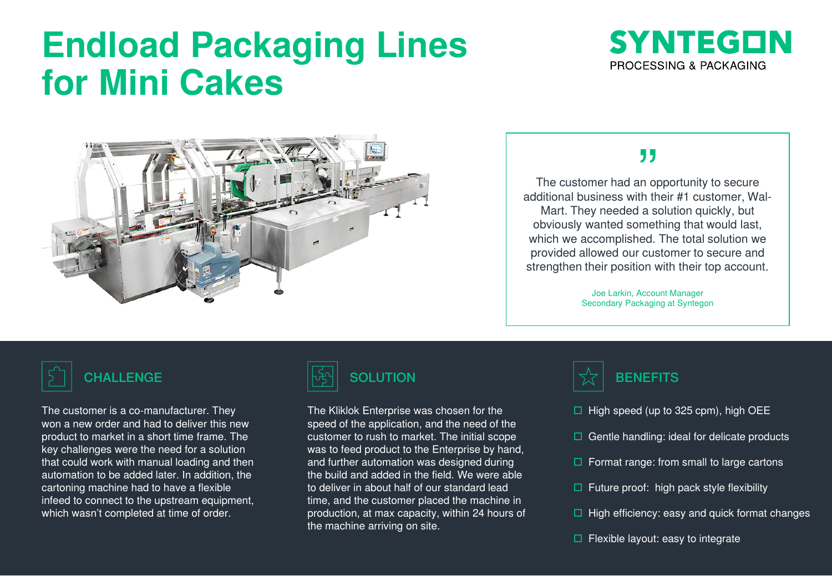# **Endload Packaging Lines for Mini Cakes**





### ,,

The customer had an opportunity to secure additional business with their #1 customer, Wal-Mart. They needed a solution quickly, but obviously wanted something that would last, which we accomplished. The total solution we provided allowed our customer to secure and strengthen their position with their top account.

> Joe Larkin, Account Manager Secondary Packaging at Syntegon

The customer is a co-manufacturer. They won a new order and had to deliver this new product to market in a short time frame. The key challenges were the need for a solution that could work with manual loading and then automation to be added later. In addition, the cartoning machine had to have a flexible infeed to connect to the upstream equipment, which wasn't completed at time of order.



The Kliklok Enterprise was chosen for the speed of the application, and the need of the customer to rush to market. The initial scope was to feed product to the Enterprise by hand, and further automation was designed during the build and added in the field. We were able to deliver in about half of our standard lead time, and the customer placed the machine in production, at max capacity, within 24 hours of the machine arriving on site.



- $\Box$  High speed (up to 325 cpm), high OEE
- $\Box$  Gentle handling: ideal for delicate products
- $\Box$  Format range: from small to large cartons
- $\Box$  Future proof: high pack style flexibility
- $\Box$  High efficiency: easy and quick format changes
- $\Box$  Flexible layout: easy to integrate